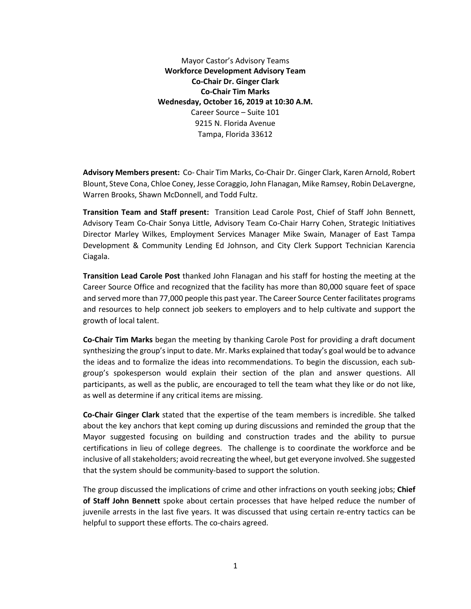Mayor Castor's Advisory Teams **Workforce Development Advisory Team Co-Chair Dr. Ginger Clark Co-Chair Tim Marks Wednesday, October 16, 2019 at 10:30 A.M.** Career Source – Suite 101 9215 N. Florida Avenue Tampa, Florida 33612

**Advisory Members present:** Co- Chair Tim Marks, Co-Chair Dr. Ginger Clark, Karen Arnold, Robert Blount, Steve Cona, Chloe Coney, Jesse Coraggio, John Flanagan, Mike Ramsey, Robin DeLavergne, Warren Brooks, Shawn McDonnell, and Todd Fultz.

**Transition Team and Staff present:** Transition Lead Carole Post, Chief of Staff John Bennett, Advisory Team Co-Chair Sonya Little, Advisory Team Co-Chair Harry Cohen, Strategic Initiatives Director Marley Wilkes, Employment Services Manager Mike Swain, Manager of East Tampa Development & Community Lending Ed Johnson, and City Clerk Support Technician Karencia Ciagala.

**Transition Lead Carole Post** thanked John Flanagan and his staff for hosting the meeting at the Career Source Office and recognized that the facility has more than 80,000 square feet of space and served more than 77,000 people this past year. The Career Source Center facilitates programs and resources to help connect job seekers to employers and to help cultivate and support the growth of local talent.

**Co-Chair Tim Marks** began the meeting by thanking Carole Post for providing a draft document synthesizing the group's input to date. Mr. Marks explained that today's goal would be to advance the ideas and to formalize the ideas into recommendations. To begin the discussion, each subgroup's spokesperson would explain their section of the plan and answer questions. All participants, as well as the public, are encouraged to tell the team what they like or do not like, as well as determine if any critical items are missing.

**Co-Chair Ginger Clark** stated that the expertise of the team members is incredible. She talked about the key anchors that kept coming up during discussions and reminded the group that the Mayor suggested focusing on building and construction trades and the ability to pursue certifications in lieu of college degrees. The challenge is to coordinate the workforce and be inclusive of all stakeholders; avoid recreating the wheel, but get everyone involved. She suggested that the system should be community-based to support the solution.

The group discussed the implications of crime and other infractions on youth seeking jobs; **Chief of Staff John Bennett** spoke about certain processes that have helped reduce the number of juvenile arrests in the last five years. It was discussed that using certain re-entry tactics can be helpful to support these efforts. The co-chairs agreed.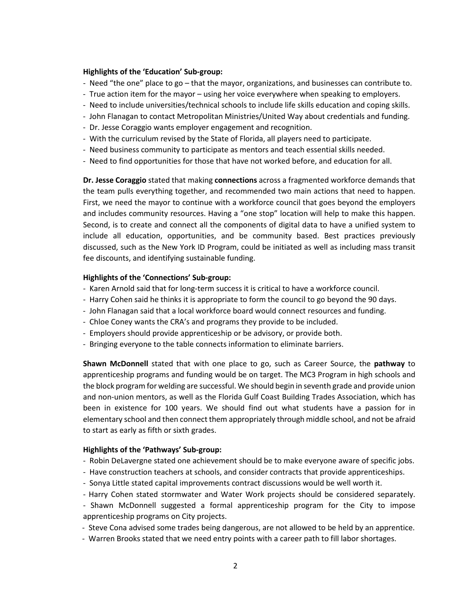## **Highlights of the 'Education' Sub-group:**

- Need "the one" place to go that the mayor, organizations, and businesses can contribute to.
- True action item for the mayor using her voice everywhere when speaking to employers.
- Need to include universities/technical schools to include life skills education and coping skills.
- John Flanagan to contact Metropolitan Ministries/United Way about credentials and funding.
- Dr. Jesse Coraggio wants employer engagement and recognition.
- With the curriculum revised by the State of Florida, all players need to participate.
- Need business community to participate as mentors and teach essential skills needed.
- Need to find opportunities for those that have not worked before, and education for all.

**Dr. Jesse Coraggio** stated that making **connections** across a fragmented workforce demands that the team pulls everything together, and recommended two main actions that need to happen. First, we need the mayor to continue with a workforce council that goes beyond the employers and includes community resources. Having a "one stop" location will help to make this happen. Second, is to create and connect all the components of digital data to have a unified system to include all education, opportunities, and be community based. Best practices previously discussed, such as the New York ID Program, could be initiated as well as including mass transit fee discounts, and identifying sustainable funding.

#### **Highlights of the 'Connections' Sub-group:**

- Karen Arnold said that for long-term success it is critical to have a workforce council.
- Harry Cohen said he thinks it is appropriate to form the council to go beyond the 90 days.
- John Flanagan said that a local workforce board would connect resources and funding.
- Chloe Coney wants the CRA's and programs they provide to be included.
- Employers should provide apprenticeship or be advisory, or provide both.
- Bringing everyone to the table connects information to eliminate barriers.

**Shawn McDonnell** stated that with one place to go, such as Career Source, the **pathway** to apprenticeship programs and funding would be on target. The MC3 Program in high schools and the block program for welding are successful. We should begin in seventh grade and provide union and non-union mentors, as well as the Florida Gulf Coast Building Trades Association, which has been in existence for 100 years. We should find out what students have a passion for in elementary school and then connect them appropriately through middle school, and not be afraid to start as early as fifth or sixth grades.

## **Highlights of the 'Pathways' Sub-group:**

- Robin DeLavergne stated one achievement should be to make everyone aware of specific jobs.
- Have construction teachers at schools, and consider contracts that provide apprenticeships.
- Sonya Little stated capital improvements contract discussions would be well worth it.
- Harry Cohen stated stormwater and Water Work projects should be considered separately.
- Shawn McDonnell suggested a formal apprenticeship program for the City to impose apprenticeship programs on City projects.
- Steve Cona advised some trades being dangerous, are not allowed to be held by an apprentice.
- Warren Brooks stated that we need entry points with a career path to fill labor shortages.